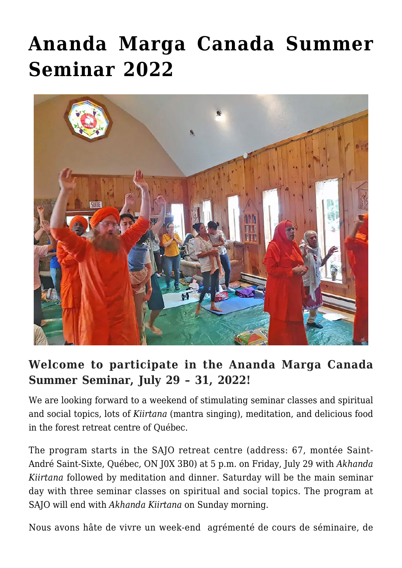## **[Ananda Marga Canada Summer](https://crimsondawn.net/9213-2/) [Seminar 2022](https://crimsondawn.net/9213-2/)**



## **Welcome to participate in the Ananda Marga Canada Summer Seminar, July 29 – 31, 2022!**

We are looking forward to a weekend of stimulating seminar classes and spiritual and social topics, lots of *Kiirtana* (mantra singing), meditation, and delicious food in the forest retreat centre of Québec.

The program starts in the SAJO retreat centre (address: 67, montée Saint-André Saint-Sixte, Québec, ON J0X 3B0) at 5 p.m. on Friday, July 29 with *Akhanda Kiirtana* followed by meditation and dinner. Saturday will be the main seminar day with three seminar classes on spiritual and social topics. The program at SAJO will end with *Akhanda Kiirtana* on Sunday morning.

Nous avons hâte de vivre un week-end agrémenté de cours de séminaire, de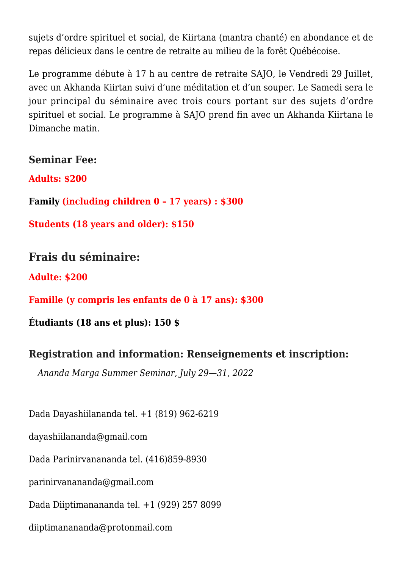sujets d'ordre spirituel et social, de Kiirtana (mantra chanté) en abondance et de repas délicieux dans le centre de retraite au milieu de la forêt Québécoise.

Le programme débute à 17 h au centre de retraite SAJO, le Vendredi 29 Juillet, avec un Akhanda Kiirtan suivi d'une méditation et d'un souper. Le Samedi sera le jour principal du séminaire avec trois cours portant sur des sujets d'ordre spirituel et social. Le programme à SAJO prend fin avec un Akhanda Kiirtana le Dimanche matin.

**Seminar Fee:**

**Adults: \$200**

**Family (including children 0 – 17 years) : \$300**

**Students (18 years and older): \$150**

## **Frais du séminaire:**

**Adulte: \$200**

**Famille (y compris les enfants de 0 à 17 ans): \$300**

**Étudiants (18 ans et plus): 150 \$**

## **Registration and information: Renseignements et inscription:**

*[Ananda Marga Summer Seminar, July 29—31, 2022](https://anandamarga.ca/ananda-marga-summer-seminar-july-29-31-2022/)*

Dada Dayashiilananda tel. +1 (819) 962-6219

[dayashiilananda@gmail.com](mailto:dayashiilananda@gmail.com)

Dada Parinirvanananda tel. (416)859-8930

parinirvanananda@gmail.com

Dada Diiptimanananda tel. +1 (929) 257 8099

[diiptimanananda@protonmail.com](mailto:diiptimanananda@protonmail.com)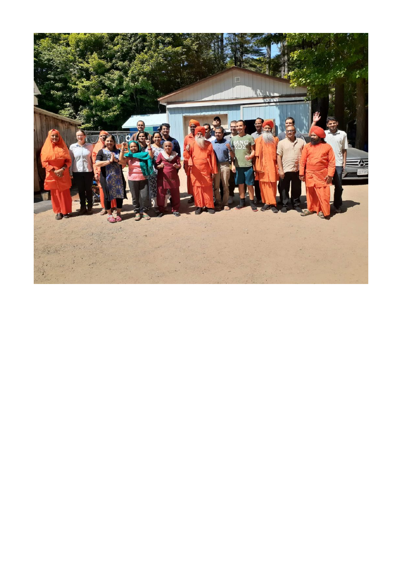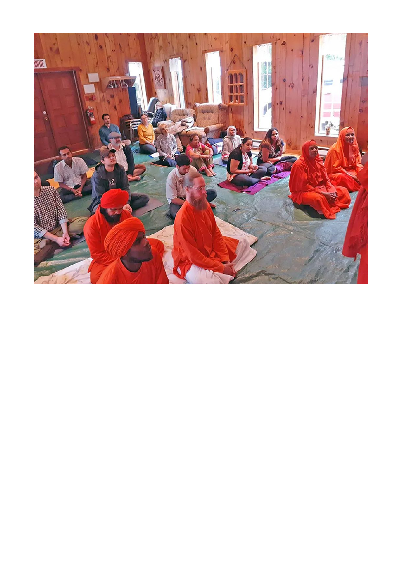